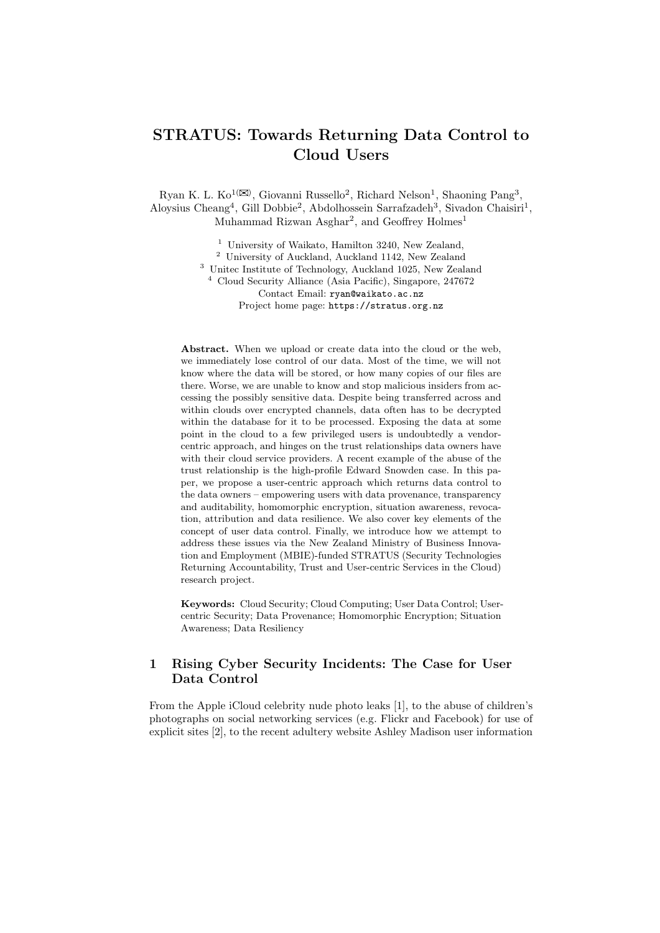# STRATUS: Towards Returning Data Control to Cloud Users

Ryan K. L. Ko<sup>1( $\boxtimes$ )</sup>, Giovanni Russello<sup>2</sup>, Richard Nelson<sup>1</sup>, Shaoning Pang<sup>3</sup>, Aloysius Cheang<sup>4</sup>, Gill Dobbie<sup>2</sup>, Abdolhossein Sarrafzadeh<sup>3</sup>, Sivadon Chaisiri<sup>1</sup>, Muhammad Rizwan Asghar<sup>2</sup>, and Geoffrey Holmes<sup>1</sup>

> <sup>1</sup> University of Waikato, Hamilton 3240, New Zealand, <sup>2</sup> University of Auckland, Auckland 1142, New Zealand <sup>3</sup> Unitec Institute of Technology, Auckland 1025, New Zealand <sup>4</sup> Cloud Security Alliance (Asia Pacific), Singapore, 247672 Contact Email: ryan@waikato.ac.nz Project home page: https://stratus.org.nz

Abstract. When we upload or create data into the cloud or the web, we immediately lose control of our data. Most of the time, we will not know where the data will be stored, or how many copies of our files are there. Worse, we are unable to know and stop malicious insiders from accessing the possibly sensitive data. Despite being transferred across and within clouds over encrypted channels, data often has to be decrypted within the database for it to be processed. Exposing the data at some point in the cloud to a few privileged users is undoubtedly a vendorcentric approach, and hinges on the trust relationships data owners have with their cloud service providers. A recent example of the abuse of the trust relationship is the high-profile Edward Snowden case. In this paper, we propose a user-centric approach which returns data control to the data owners – empowering users with data provenance, transparency and auditability, homomorphic encryption, situation awareness, revocation, attribution and data resilience. We also cover key elements of the concept of user data control. Finally, we introduce how we attempt to address these issues via the New Zealand Ministry of Business Innovation and Employment (MBIE)-funded STRATUS (Security Technologies Returning Accountability, Trust and User-centric Services in the Cloud) research project.

Keywords: Cloud Security; Cloud Computing; User Data Control; Usercentric Security; Data Provenance; Homomorphic Encryption; Situation Awareness; Data Resiliency

# 1 Rising Cyber Security Incidents: The Case for User Data Control

From the Apple iCloud celebrity nude photo leaks [1], to the abuse of children's photographs on social networking services (e.g. Flickr and Facebook) for use of explicit sites [2], to the recent adultery website Ashley Madison user information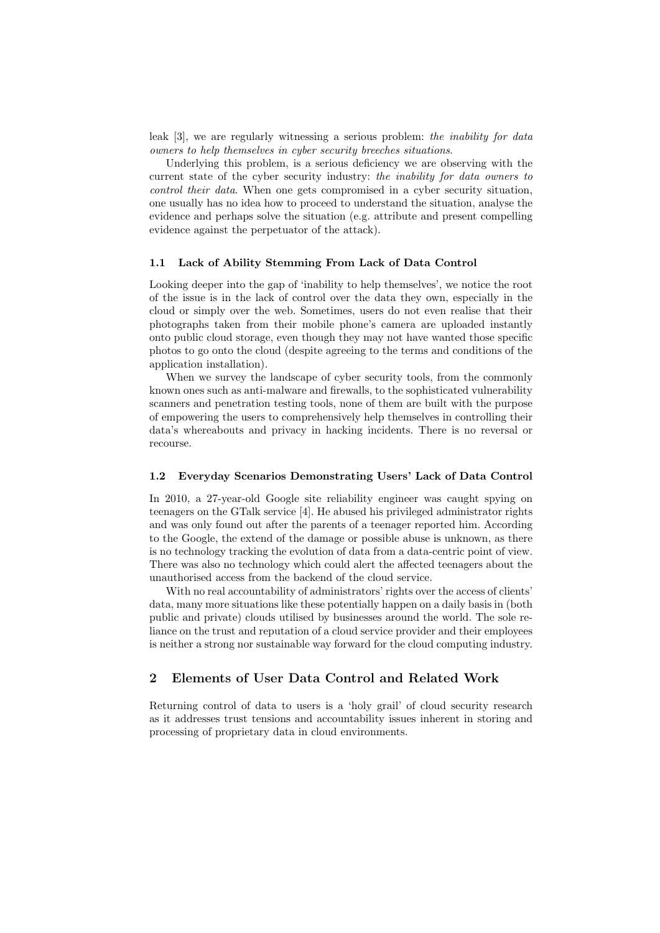leak [3], we are regularly witnessing a serious problem: the inability for data owners to help themselves in cyber security breeches situations.

Underlying this problem, is a serious deficiency we are observing with the current state of the cyber security industry: the inability for data owners to control their data. When one gets compromised in a cyber security situation, one usually has no idea how to proceed to understand the situation, analyse the evidence and perhaps solve the situation (e.g. attribute and present compelling evidence against the perpetuator of the attack).

#### 1.1 Lack of Ability Stemming From Lack of Data Control

Looking deeper into the gap of 'inability to help themselves', we notice the root of the issue is in the lack of control over the data they own, especially in the cloud or simply over the web. Sometimes, users do not even realise that their photographs taken from their mobile phone's camera are uploaded instantly onto public cloud storage, even though they may not have wanted those specific photos to go onto the cloud (despite agreeing to the terms and conditions of the application installation).

When we survey the landscape of cyber security tools, from the commonly known ones such as anti-malware and firewalls, to the sophisticated vulnerability scanners and penetration testing tools, none of them are built with the purpose of empowering the users to comprehensively help themselves in controlling their data's whereabouts and privacy in hacking incidents. There is no reversal or recourse.

#### 1.2 Everyday Scenarios Demonstrating Users' Lack of Data Control

In 2010, a 27-year-old Google site reliability engineer was caught spying on teenagers on the GTalk service [4]. He abused his privileged administrator rights and was only found out after the parents of a teenager reported him. According to the Google, the extend of the damage or possible abuse is unknown, as there is no technology tracking the evolution of data from a data-centric point of view. There was also no technology which could alert the affected teenagers about the unauthorised access from the backend of the cloud service.

With no real accountability of administrators' rights over the access of clients' data, many more situations like these potentially happen on a daily basis in (both public and private) clouds utilised by businesses around the world. The sole reliance on the trust and reputation of a cloud service provider and their employees is neither a strong nor sustainable way forward for the cloud computing industry.

# 2 Elements of User Data Control and Related Work

Returning control of data to users is a 'holy grail' of cloud security research as it addresses trust tensions and accountability issues inherent in storing and processing of proprietary data in cloud environments.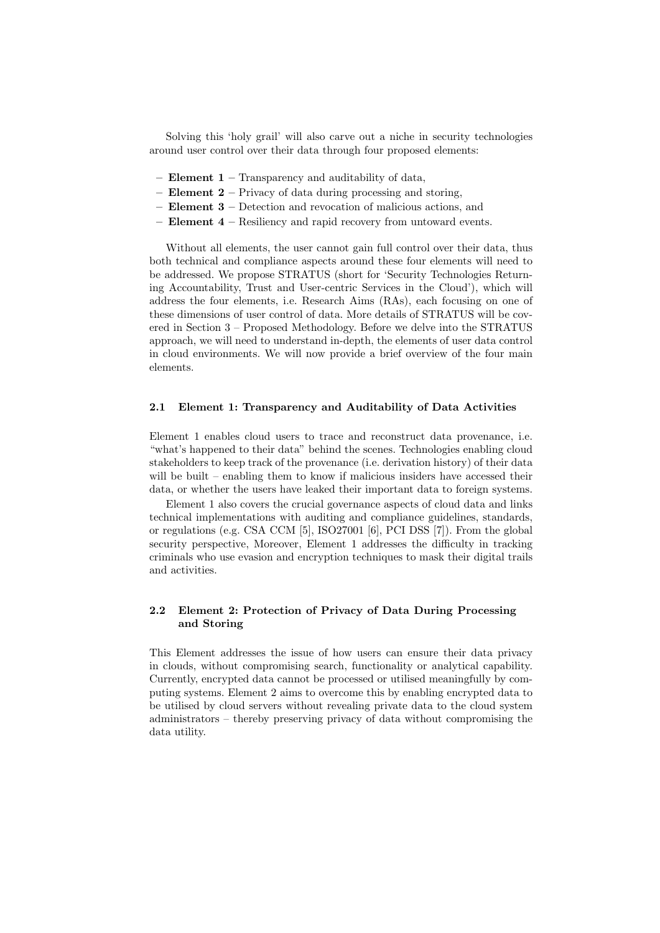Solving this 'holy grail' will also carve out a niche in security technologies around user control over their data through four proposed elements:

- Element 1 Transparency and auditability of data,
- **Element 2** Privacy of data during processing and storing,
- Element 3 Detection and revocation of malicious actions, and
- Element 4 Resiliency and rapid recovery from untoward events.

Without all elements, the user cannot gain full control over their data, thus both technical and compliance aspects around these four elements will need to be addressed. We propose STRATUS (short for 'Security Technologies Returning Accountability, Trust and User-centric Services in the Cloud'), which will address the four elements, i.e. Research Aims (RAs), each focusing on one of these dimensions of user control of data. More details of STRATUS will be covered in Section 3 – Proposed Methodology. Before we delve into the STRATUS approach, we will need to understand in-depth, the elements of user data control in cloud environments. We will now provide a brief overview of the four main elements.

#### 2.1 Element 1: Transparency and Auditability of Data Activities

Element 1 enables cloud users to trace and reconstruct data provenance, i.e. "what's happened to their data" behind the scenes. Technologies enabling cloud stakeholders to keep track of the provenance (i.e. derivation history) of their data will be built – enabling them to know if malicious insiders have accessed their data, or whether the users have leaked their important data to foreign systems.

Element 1 also covers the crucial governance aspects of cloud data and links technical implementations with auditing and compliance guidelines, standards, or regulations (e.g. CSA CCM [5], ISO27001 [6], PCI DSS [7]). From the global security perspective, Moreover, Element 1 addresses the difficulty in tracking criminals who use evasion and encryption techniques to mask their digital trails and activities.

# 2.2 Element 2: Protection of Privacy of Data During Processing and Storing

This Element addresses the issue of how users can ensure their data privacy in clouds, without compromising search, functionality or analytical capability. Currently, encrypted data cannot be processed or utilised meaningfully by computing systems. Element 2 aims to overcome this by enabling encrypted data to be utilised by cloud servers without revealing private data to the cloud system administrators – thereby preserving privacy of data without compromising the data utility.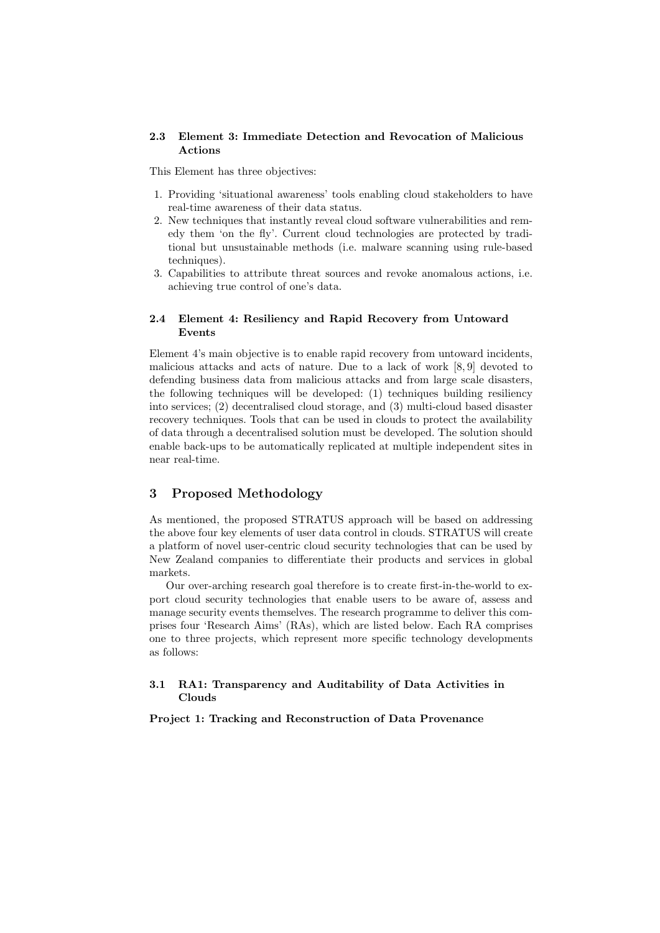## 2.3 Element 3: Immediate Detection and Revocation of Malicious Actions

This Element has three objectives:

- 1. Providing 'situational awareness' tools enabling cloud stakeholders to have real-time awareness of their data status.
- 2. New techniques that instantly reveal cloud software vulnerabilities and remedy them 'on the fly'. Current cloud technologies are protected by traditional but unsustainable methods (i.e. malware scanning using rule-based techniques).
- 3. Capabilities to attribute threat sources and revoke anomalous actions, i.e. achieving true control of one's data.

## 2.4 Element 4: Resiliency and Rapid Recovery from Untoward Events

Element 4's main objective is to enable rapid recovery from untoward incidents, malicious attacks and acts of nature. Due to a lack of work [8, 9] devoted to defending business data from malicious attacks and from large scale disasters, the following techniques will be developed: (1) techniques building resiliency into services; (2) decentralised cloud storage, and (3) multi-cloud based disaster recovery techniques. Tools that can be used in clouds to protect the availability of data through a decentralised solution must be developed. The solution should enable back-ups to be automatically replicated at multiple independent sites in near real-time.

# 3 Proposed Methodology

As mentioned, the proposed STRATUS approach will be based on addressing the above four key elements of user data control in clouds. STRATUS will create a platform of novel user-centric cloud security technologies that can be used by New Zealand companies to differentiate their products and services in global markets.

Our over-arching research goal therefore is to create first-in-the-world to export cloud security technologies that enable users to be aware of, assess and manage security events themselves. The research programme to deliver this comprises four 'Research Aims' (RAs), which are listed below. Each RA comprises one to three projects, which represent more specific technology developments as follows:

# 3.1 RA1: Transparency and Auditability of Data Activities in Clouds

Project 1: Tracking and Reconstruction of Data Provenance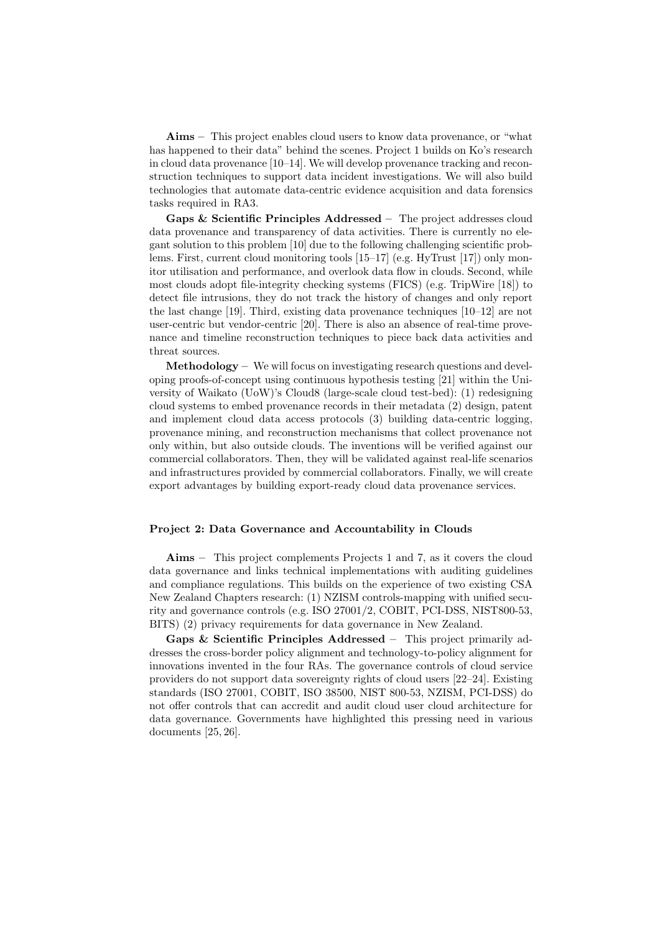Aims – This project enables cloud users to know data provenance, or "what has happened to their data" behind the scenes. Project 1 builds on Ko's research in cloud data provenance [10–14]. We will develop provenance tracking and reconstruction techniques to support data incident investigations. We will also build technologies that automate data-centric evidence acquisition and data forensics tasks required in RA3.

Gaps & Scientific Principles Addressed – The project addresses cloud data provenance and transparency of data activities. There is currently no elegant solution to this problem [10] due to the following challenging scientific problems. First, current cloud monitoring tools [15–17] (e.g. HyTrust [17]) only monitor utilisation and performance, and overlook data flow in clouds. Second, while most clouds adopt file-integrity checking systems (FICS) (e.g. TripWire [18]) to detect file intrusions, they do not track the history of changes and only report the last change [19]. Third, existing data provenance techniques [10–12] are not user-centric but vendor-centric [20]. There is also an absence of real-time provenance and timeline reconstruction techniques to piece back data activities and threat sources.

Methodology – We will focus on investigating research questions and developing proofs-of-concept using continuous hypothesis testing [21] within the University of Waikato (UoW)'s Cloud8 (large-scale cloud test-bed): (1) redesigning cloud systems to embed provenance records in their metadata (2) design, patent and implement cloud data access protocols (3) building data-centric logging, provenance mining, and reconstruction mechanisms that collect provenance not only within, but also outside clouds. The inventions will be verified against our commercial collaborators. Then, they will be validated against real-life scenarios and infrastructures provided by commercial collaborators. Finally, we will create export advantages by building export-ready cloud data provenance services.

#### Project 2: Data Governance and Accountability in Clouds

Aims – This project complements Projects 1 and 7, as it covers the cloud data governance and links technical implementations with auditing guidelines and compliance regulations. This builds on the experience of two existing CSA New Zealand Chapters research: (1) NZISM controls-mapping with unified security and governance controls (e.g. ISO 27001/2, COBIT, PCI-DSS, NIST800-53, BITS) (2) privacy requirements for data governance in New Zealand.

Gaps & Scientific Principles Addressed – This project primarily addresses the cross-border policy alignment and technology-to-policy alignment for innovations invented in the four RAs. The governance controls of cloud service providers do not support data sovereignty rights of cloud users [22–24]. Existing standards (ISO 27001, COBIT, ISO 38500, NIST 800-53, NZISM, PCI-DSS) do not offer controls that can accredit and audit cloud user cloud architecture for data governance. Governments have highlighted this pressing need in various documents [25, 26].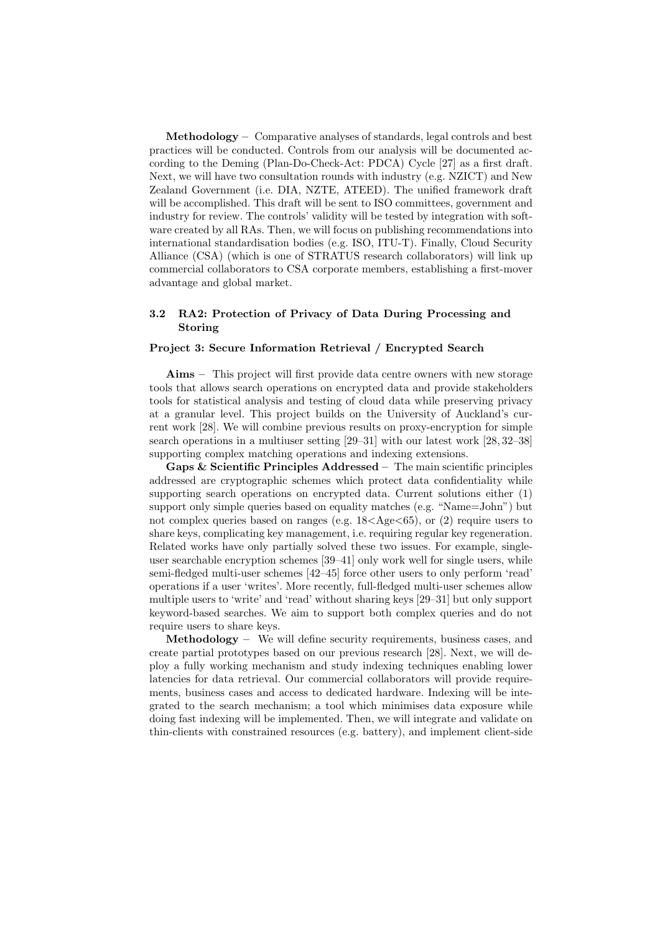Methodology – Comparative analyses of standards, legal controls and best practices will be conducted. Controls from our analysis will be documented according to the Deming (Plan-Do-Check-Act: PDCA) Cycle [27] as a first draft. Next, we will have two consultation rounds with industry (e.g. NZICT) and New Zealand Government (i.e. DIA, NZTE, ATEED). The unified framework draft will be accomplished. This draft will be sent to ISO committees, government and industry for review. The controls' validity will be tested by integration with software created by all RAs. Then, we will focus on publishing recommendations into international standardisation bodies (e.g. ISO, ITU-T). Finally, Cloud Security Alliance (CSA) (which is one of STRATUS research collaborators) will link up commercial collaborators to CSA corporate members, establishing a first-mover advantage and global market.

## 3.2 RA2: Protection of Privacy of Data During Processing and Storing

#### Project 3: Secure Information Retrieval / Encrypted Search

Aims – This project will first provide data centre owners with new storage tools that allows search operations on encrypted data and provide stakeholders tools for statistical analysis and testing of cloud data while preserving privacy at a granular level. This project builds on the University of Auckland's current work [28]. We will combine previous results on proxy-encryption for simple search operations in a multiuser setting [29–31] with our latest work [28, 32–38] supporting complex matching operations and indexing extensions.

Gaps & Scientific Principles Addressed – The main scientific principles addressed are cryptographic schemes which protect data confidentiality while supporting search operations on encrypted data. Current solutions either (1) support only simple queries based on equality matches (e.g. "Name=John") but not complex queries based on ranges (e.g. 18<Age<65), or (2) require users to share keys, complicating key management, i.e. requiring regular key regeneration. Related works have only partially solved these two issues. For example, singleuser searchable encryption schemes [39–41] only work well for single users, while semi-fledged multi-user schemes [42–45] force other users to only perform 'read' operations if a user 'writes'. More recently, full-fledged multi-user schemes allow multiple users to 'write' and 'read' without sharing keys [29–31] but only support keyword-based searches. We aim to support both complex queries and do not require users to share keys.

Methodology – We will define security requirements, business cases, and create partial prototypes based on our previous research [28]. Next, we will deploy a fully working mechanism and study indexing techniques enabling lower latencies for data retrieval. Our commercial collaborators will provide requirements, business cases and access to dedicated hardware. Indexing will be integrated to the search mechanism; a tool which minimises data exposure while doing fast indexing will be implemented. Then, we will integrate and validate on thin-clients with constrained resources (e.g. battery), and implement client-side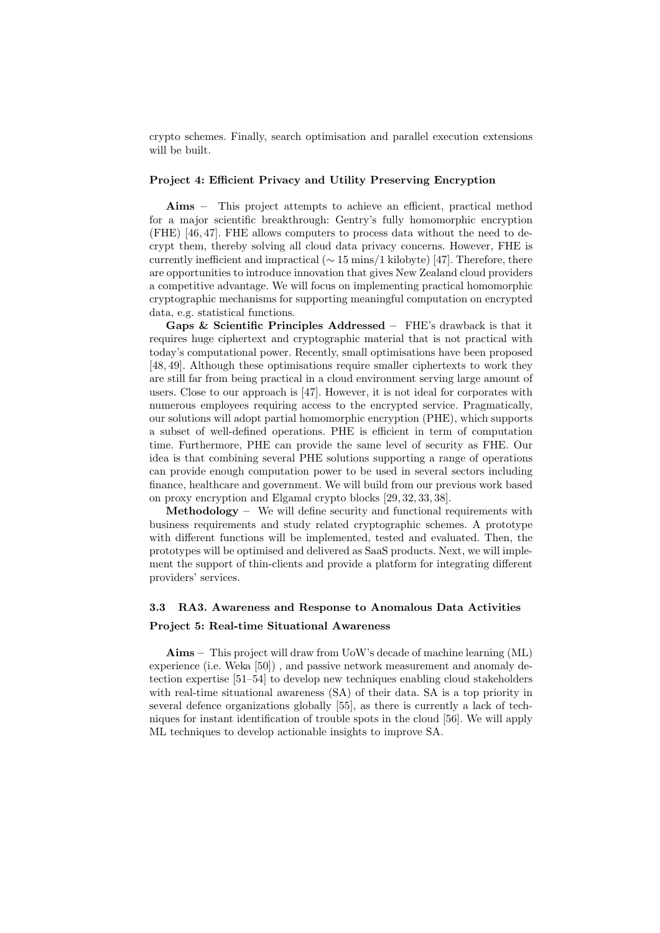crypto schemes. Finally, search optimisation and parallel execution extensions will be built.

#### Project 4: Efficient Privacy and Utility Preserving Encryption

Aims – This project attempts to achieve an efficient, practical method for a major scientific breakthrough: Gentry's fully homomorphic encryption (FHE) [46, 47]. FHE allows computers to process data without the need to decrypt them, thereby solving all cloud data privacy concerns. However, FHE is currently inefficient and impractical ( $\sim 15$  mins/1 kilobyte) [47]. Therefore, there are opportunities to introduce innovation that gives New Zealand cloud providers a competitive advantage. We will focus on implementing practical homomorphic cryptographic mechanisms for supporting meaningful computation on encrypted data, e.g. statistical functions.

Gaps & Scientific Principles Addressed – FHE's drawback is that it requires huge ciphertext and cryptographic material that is not practical with today's computational power. Recently, small optimisations have been proposed [48, 49]. Although these optimisations require smaller ciphertexts to work they are still far from being practical in a cloud environment serving large amount of users. Close to our approach is [47]. However, it is not ideal for corporates with numerous employees requiring access to the encrypted service. Pragmatically, our solutions will adopt partial homomorphic encryption (PHE), which supports a subset of well-defined operations. PHE is efficient in term of computation time. Furthermore, PHE can provide the same level of security as FHE. Our idea is that combining several PHE solutions supporting a range of operations can provide enough computation power to be used in several sectors including finance, healthcare and government. We will build from our previous work based on proxy encryption and Elgamal crypto blocks [29, 32, 33, 38].

Methodology – We will define security and functional requirements with business requirements and study related cryptographic schemes. A prototype with different functions will be implemented, tested and evaluated. Then, the prototypes will be optimised and delivered as SaaS products. Next, we will implement the support of thin-clients and provide a platform for integrating different providers' services.

# 3.3 RA3. Awareness and Response to Anomalous Data Activities Project 5: Real-time Situational Awareness

Aims – This project will draw from UoW's decade of machine learning (ML) experience (i.e. Weka [50]) , and passive network measurement and anomaly detection expertise [51–54] to develop new techniques enabling cloud stakeholders with real-time situational awareness (SA) of their data. SA is a top priority in several defence organizations globally [55], as there is currently a lack of techniques for instant identification of trouble spots in the cloud [56]. We will apply ML techniques to develop actionable insights to improve SA.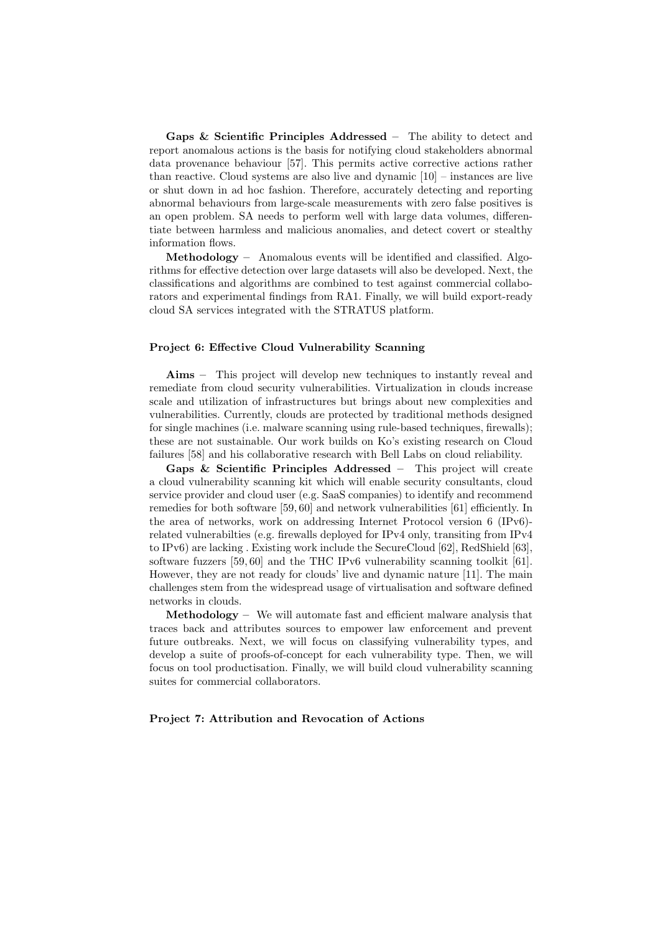Gaps & Scientific Principles Addressed – The ability to detect and report anomalous actions is the basis for notifying cloud stakeholders abnormal data provenance behaviour [57]. This permits active corrective actions rather than reactive. Cloud systems are also live and dynamic [10] – instances are live or shut down in ad hoc fashion. Therefore, accurately detecting and reporting abnormal behaviours from large-scale measurements with zero false positives is an open problem. SA needs to perform well with large data volumes, differentiate between harmless and malicious anomalies, and detect covert or stealthy information flows.

Methodology – Anomalous events will be identified and classified. Algorithms for effective detection over large datasets will also be developed. Next, the classifications and algorithms are combined to test against commercial collaborators and experimental findings from RA1. Finally, we will build export-ready cloud SA services integrated with the STRATUS platform.

#### Project 6: Effective Cloud Vulnerability Scanning

Aims – This project will develop new techniques to instantly reveal and remediate from cloud security vulnerabilities. Virtualization in clouds increase scale and utilization of infrastructures but brings about new complexities and vulnerabilities. Currently, clouds are protected by traditional methods designed for single machines (i.e. malware scanning using rule-based techniques, firewalls); these are not sustainable. Our work builds on Ko's existing research on Cloud failures [58] and his collaborative research with Bell Labs on cloud reliability.

**Gaps & Scientific Principles Addressed –** This project will create a cloud vulnerability scanning kit which will enable security consultants, cloud service provider and cloud user (e.g. SaaS companies) to identify and recommend remedies for both software [59, 60] and network vulnerabilities [61] efficiently. In the area of networks, work on addressing Internet Protocol version 6 (IPv6) related vulnerabilties (e.g. firewalls deployed for IPv4 only, transiting from IPv4 to IPv6) are lacking . Existing work include the SecureCloud [62], RedShield [63], software fuzzers [59, 60] and the THC IPv6 vulnerability scanning toolkit [61]. However, they are not ready for clouds' live and dynamic nature [11]. The main challenges stem from the widespread usage of virtualisation and software defined networks in clouds.

Methodology – We will automate fast and efficient malware analysis that traces back and attributes sources to empower law enforcement and prevent future outbreaks. Next, we will focus on classifying vulnerability types, and develop a suite of proofs-of-concept for each vulnerability type. Then, we will focus on tool productisation. Finally, we will build cloud vulnerability scanning suites for commercial collaborators.

#### Project 7: Attribution and Revocation of Actions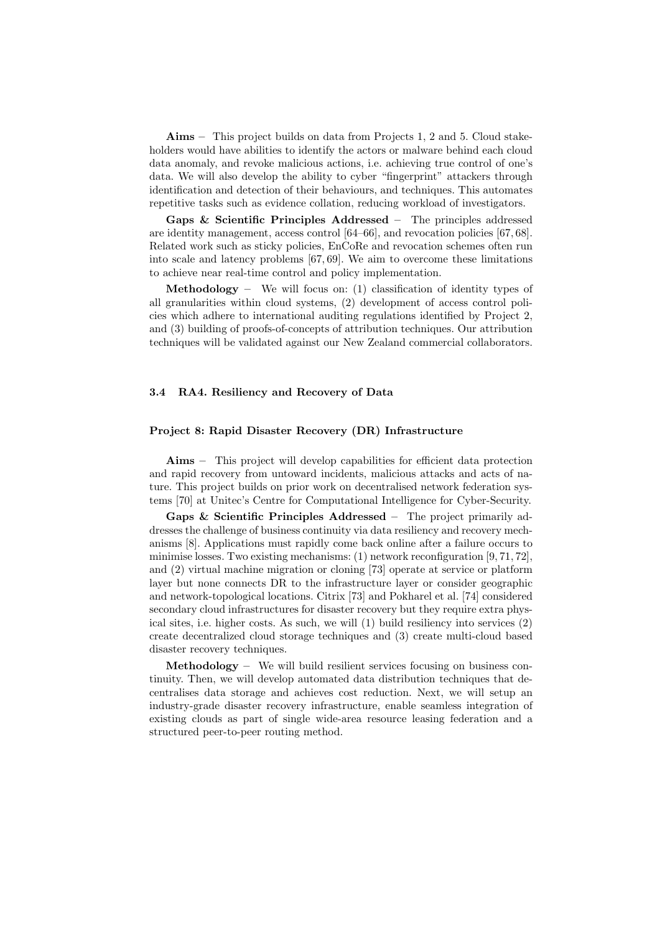Aims – This project builds on data from Projects 1, 2 and 5. Cloud stakeholders would have abilities to identify the actors or malware behind each cloud data anomaly, and revoke malicious actions, i.e. achieving true control of one's data. We will also develop the ability to cyber "fingerprint" attackers through identification and detection of their behaviours, and techniques. This automates repetitive tasks such as evidence collation, reducing workload of investigators.

Gaps & Scientific Principles Addressed – The principles addressed are identity management, access control [64–66], and revocation policies [67, 68]. Related work such as sticky policies, EnCoRe and revocation schemes often run into scale and latency problems [67, 69]. We aim to overcome these limitations to achieve near real-time control and policy implementation.

**Methodology** – We will focus on: (1) classification of identity types of all granularities within cloud systems, (2) development of access control policies which adhere to international auditing regulations identified by Project 2, and (3) building of proofs-of-concepts of attribution techniques. Our attribution techniques will be validated against our New Zealand commercial collaborators.

### 3.4 RA4. Resiliency and Recovery of Data

### Project 8: Rapid Disaster Recovery (DR) Infrastructure

Aims – This project will develop capabilities for efficient data protection and rapid recovery from untoward incidents, malicious attacks and acts of nature. This project builds on prior work on decentralised network federation systems [70] at Unitec's Centre for Computational Intelligence for Cyber-Security.

Gaps & Scientific Principles Addressed – The project primarily addresses the challenge of business continuity via data resiliency and recovery mechanisms [8]. Applications must rapidly come back online after a failure occurs to minimise losses. Two existing mechanisms: (1) network reconfiguration [9, 71, 72], and (2) virtual machine migration or cloning [73] operate at service or platform layer but none connects DR to the infrastructure layer or consider geographic and network-topological locations. Citrix [73] and Pokharel et al. [74] considered secondary cloud infrastructures for disaster recovery but they require extra physical sites, i.e. higher costs. As such, we will (1) build resiliency into services (2) create decentralized cloud storage techniques and (3) create multi-cloud based disaster recovery techniques.

Methodology – We will build resilient services focusing on business continuity. Then, we will develop automated data distribution techniques that decentralises data storage and achieves cost reduction. Next, we will setup an industry-grade disaster recovery infrastructure, enable seamless integration of existing clouds as part of single wide-area resource leasing federation and a structured peer-to-peer routing method.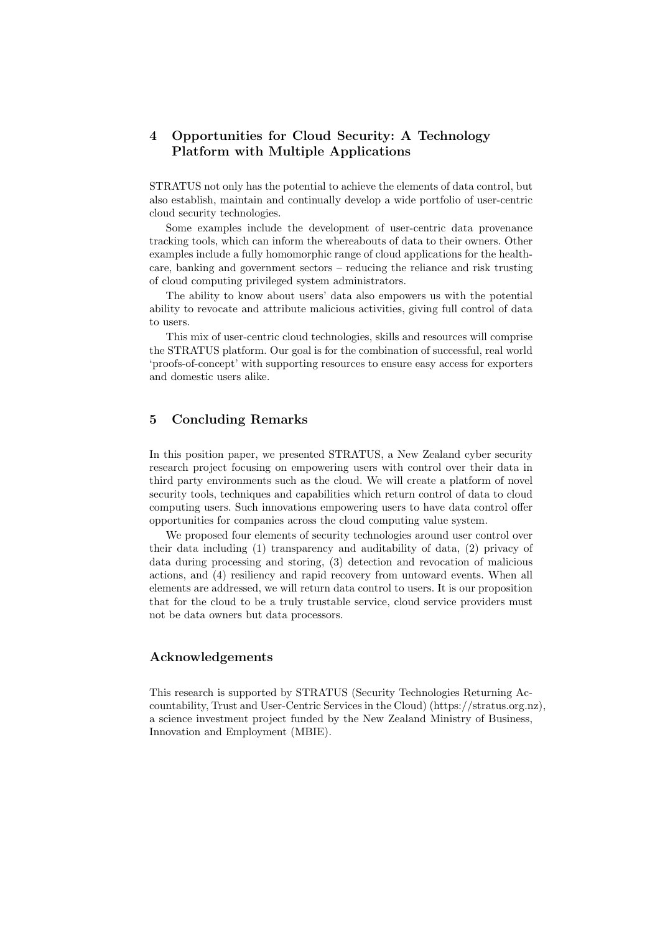# 4 Opportunities for Cloud Security: A Technology Platform with Multiple Applications

STRATUS not only has the potential to achieve the elements of data control, but also establish, maintain and continually develop a wide portfolio of user-centric cloud security technologies.

Some examples include the development of user-centric data provenance tracking tools, which can inform the whereabouts of data to their owners. Other examples include a fully homomorphic range of cloud applications for the healthcare, banking and government sectors – reducing the reliance and risk trusting of cloud computing privileged system administrators.

The ability to know about users' data also empowers us with the potential ability to revocate and attribute malicious activities, giving full control of data to users.

This mix of user-centric cloud technologies, skills and resources will comprise the STRATUS platform. Our goal is for the combination of successful, real world 'proofs-of-concept' with supporting resources to ensure easy access for exporters and domestic users alike.

# 5 Concluding Remarks

In this position paper, we presented STRATUS, a New Zealand cyber security research project focusing on empowering users with control over their data in third party environments such as the cloud. We will create a platform of novel security tools, techniques and capabilities which return control of data to cloud computing users. Such innovations empowering users to have data control offer opportunities for companies across the cloud computing value system.

We proposed four elements of security technologies around user control over their data including (1) transparency and auditability of data, (2) privacy of data during processing and storing, (3) detection and revocation of malicious actions, and (4) resiliency and rapid recovery from untoward events. When all elements are addressed, we will return data control to users. It is our proposition that for the cloud to be a truly trustable service, cloud service providers must not be data owners but data processors.

### Acknowledgements

This research is supported by STRATUS (Security Technologies Returning Accountability, Trust and User-Centric Services in the Cloud) (https://stratus.org.nz), a science investment project funded by the New Zealand Ministry of Business, Innovation and Employment (MBIE).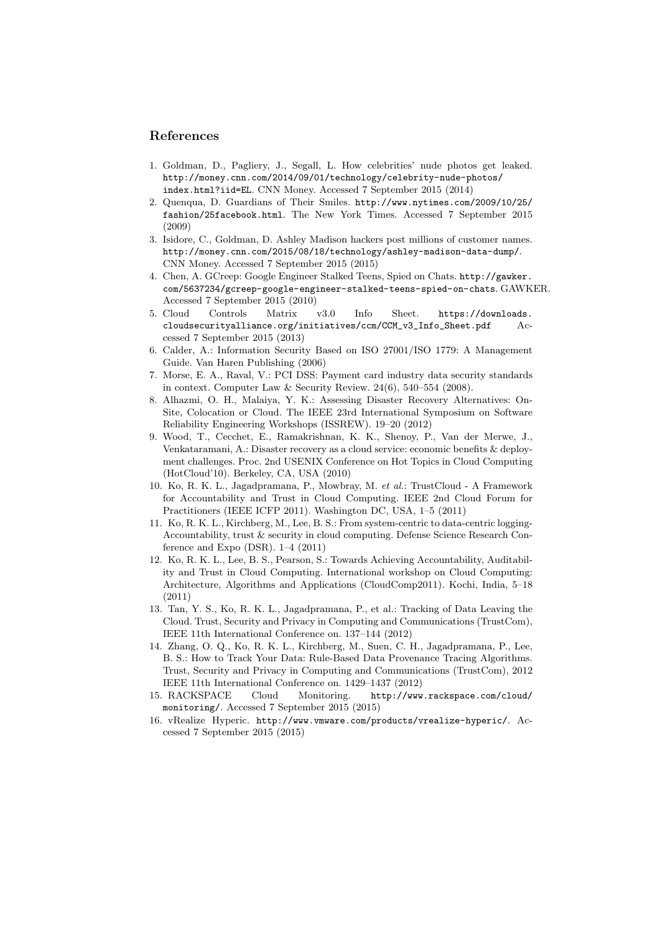#### References

- 1. Goldman, D., Pagliery, J., Segall, L. How celebrities' nude photos get leaked. http://money.cnn.com/2014/09/01/technology/celebrity-nude-photos/ index.html?iid=EL. CNN Money. Accessed 7 September 2015 (2014)
- 2. Quenqua, D. Guardians of Their Smiles. http://www.nytimes.com/2009/10/25/ fashion/25facebook.html. The New York Times. Accessed 7 September 2015 (2009)
- 3. Isidore, C., Goldman, D. Ashley Madison hackers post millions of customer names. http://money.cnn.com/2015/08/18/technology/ashley-madison-data-dump/. CNN Money. Accessed 7 September 2015 (2015)
- 4. Chen, A. GCreep: Google Engineer Stalked Teens, Spied on Chats. http://gawker. com/5637234/gcreep-google-engineer-stalked-teens-spied-on-chats. GAWKER. Accessed 7 September 2015 (2010)
- 5. Cloud Controls Matrix v3.0 Info Sheet. https://downloads. cloudsecurityalliance.org/initiatives/ccm/CCM\_v3\_Info\_Sheet.pdf Accessed 7 September 2015 (2013)
- 6. Calder, A.: Information Security Based on ISO 27001/ISO 1779: A Management Guide. Van Haren Publishing (2006)
- 7. Morse, E. A., Raval, V.: PCI DSS: Payment card industry data security standards in context. Computer Law & Security Review. 24(6), 540–554 (2008).
- 8. Alhazmi, O. H., Malaiya, Y. K.: Assessing Disaster Recovery Alternatives: On-Site, Colocation or Cloud. The IEEE 23rd International Symposium on Software Reliability Engineering Workshops (ISSREW). 19–20 (2012)
- 9. Wood, T., Cecchet, E., Ramakrishnan, K. K., Shenoy, P., Van der Merwe, J., Venkataramani, A.: Disaster recovery as a cloud service: economic benefits & deployment challenges. Proc. 2nd USENIX Conference on Hot Topics in Cloud Computing (HotCloud'10). Berkeley, CA, USA (2010)
- 10. Ko, R. K. L., Jagadpramana, P., Mowbray, M. et al.: TrustCloud A Framework for Accountability and Trust in Cloud Computing. IEEE 2nd Cloud Forum for Practitioners (IEEE ICFP 2011). Washington DC, USA, 1–5 (2011)
- 11. Ko, R. K. L., Kirchberg, M., Lee, B. S.: From system-centric to data-centric logging-Accountability, trust & security in cloud computing. Defense Science Research Conference and Expo  $(DSR)$ . 1–4  $(2011)$
- 12. Ko, R. K. L., Lee, B. S., Pearson, S.: Towards Achieving Accountability, Auditability and Trust in Cloud Computing. International workshop on Cloud Computing: Architecture, Algorithms and Applications (CloudComp2011). Kochi, India, 5–18 (2011)
- 13. Tan, Y. S., Ko, R. K. L., Jagadpramana, P., et al.: Tracking of Data Leaving the Cloud. Trust, Security and Privacy in Computing and Communications (TrustCom), IEEE 11th International Conference on. 137–144 (2012)
- 14. Zhang, O. Q., Ko, R. K. L., Kirchberg, M., Suen, C. H., Jagadpramana, P., Lee, B. S.: How to Track Your Data: Rule-Based Data Provenance Tracing Algorithms. Trust, Security and Privacy in Computing and Communications (TrustCom), 2012 IEEE 11th International Conference on. 1429–1437 (2012)
- 15. RACKSPACE Cloud Monitoring. http://www.rackspace.com/cloud/ monitoring/. Accessed 7 September 2015 (2015)
- 16. vRealize Hyperic. http://www.vmware.com/products/vrealize-hyperic/. Accessed 7 September 2015 (2015)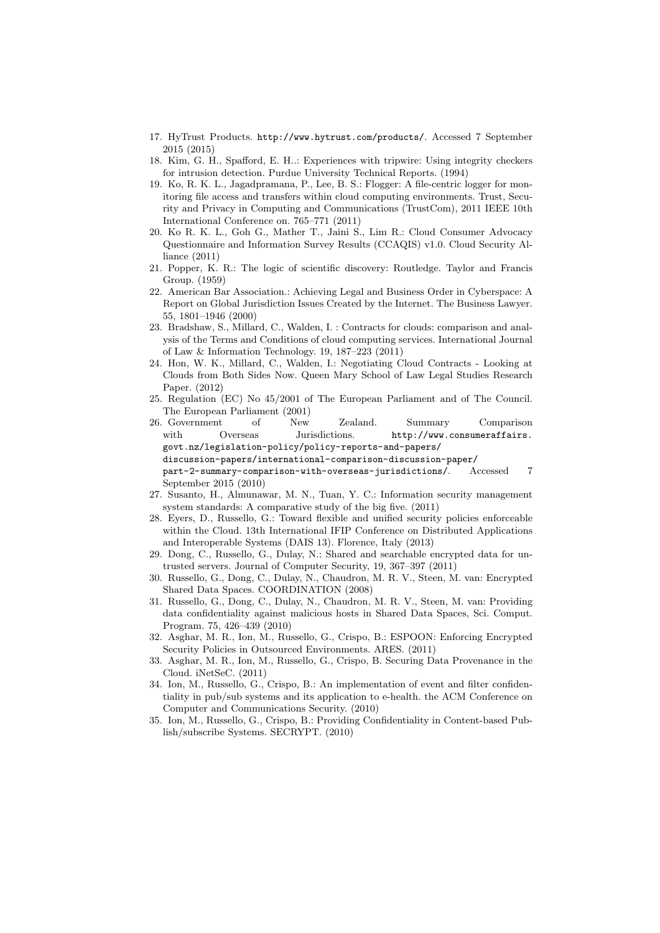- 17. HyTrust Products. http://www.hytrust.com/products/. Accessed 7 September 2015 (2015)
- 18. Kim, G. H., Spafford, E. H..: Experiences with tripwire: Using integrity checkers for intrusion detection. Purdue University Technical Reports. (1994)
- 19. Ko, R. K. L., Jagadpramana, P., Lee, B. S.: Flogger: A file-centric logger for monitoring file access and transfers within cloud computing environments. Trust, Security and Privacy in Computing and Communications (TrustCom), 2011 IEEE 10th International Conference on. 765–771 (2011)
- 20. Ko R. K. L., Goh G., Mather T., Jaini S., Lim R.: Cloud Consumer Advocacy Questionnaire and Information Survey Results (CCAQIS) v1.0. Cloud Security Alliance (2011)
- 21. Popper, K. R.: The logic of scientific discovery: Routledge. Taylor and Francis Group. (1959)
- 22. American Bar Association.: Achieving Legal and Business Order in Cyberspace: A Report on Global Jurisdiction Issues Created by the Internet. The Business Lawyer. 55, 1801–1946 (2000)
- 23. Bradshaw, S., Millard, C., Walden, I. : Contracts for clouds: comparison and analysis of the Terms and Conditions of cloud computing services. International Journal of Law & Information Technology. 19, 187–223 (2011)
- 24. Hon, W. K., Millard, C., Walden, I.: Negotiating Cloud Contracts Looking at Clouds from Both Sides Now. Queen Mary School of Law Legal Studies Research Paper. (2012)
- 25. Regulation (EC) No 45/2001 of The European Parliament and of The Council. The European Parliament (2001)
- 26. Government of New Zealand. Summary Comparison with Overseas Jurisdictions. http://www.consumeraffairs. govt.nz/legislation-policy/policy-reports-and-papers/ discussion-papers/international-comparison-discussion-paper/ part-2-summary-comparison-with-overseas-jurisdictions/. Accessed 7 September 2015 (2010)
- 27. Susanto, H., Almunawar, M. N., Tuan, Y. C.: Information security management system standards: A comparative study of the big five. (2011)
- 28. Eyers, D., Russello, G.: Toward flexible and unified security policies enforceable within the Cloud. 13th International IFIP Conference on Distributed Applications and Interoperable Systems (DAIS 13). Florence, Italy (2013)
- 29. Dong, C., Russello, G., Dulay, N.: Shared and searchable encrypted data for untrusted servers. Journal of Computer Security, 19, 367–397 (2011)
- 30. Russello, G., Dong, C., Dulay, N., Chaudron, M. R. V., Steen, M. van: Encrypted Shared Data Spaces. COORDINATION (2008)
- 31. Russello, G., Dong, C., Dulay, N., Chaudron, M. R. V., Steen, M. van: Providing data confidentiality against malicious hosts in Shared Data Spaces, Sci. Comput. Program. 75, 426–439 (2010)
- 32. Asghar, M. R., Ion, M., Russello, G., Crispo, B.: ESPOON: Enforcing Encrypted Security Policies in Outsourced Environments. ARES. (2011)
- 33. Asghar, M. R., Ion, M., Russello, G., Crispo, B. Securing Data Provenance in the Cloud. iNetSeC. (2011)
- 34. Ion, M., Russello, G., Crispo, B.: An implementation of event and filter confidentiality in pub/sub systems and its application to e-health. the ACM Conference on Computer and Communications Security. (2010)
- 35. Ion, M., Russello, G., Crispo, B.: Providing Confidentiality in Content-based Publish/subscribe Systems. SECRYPT. (2010)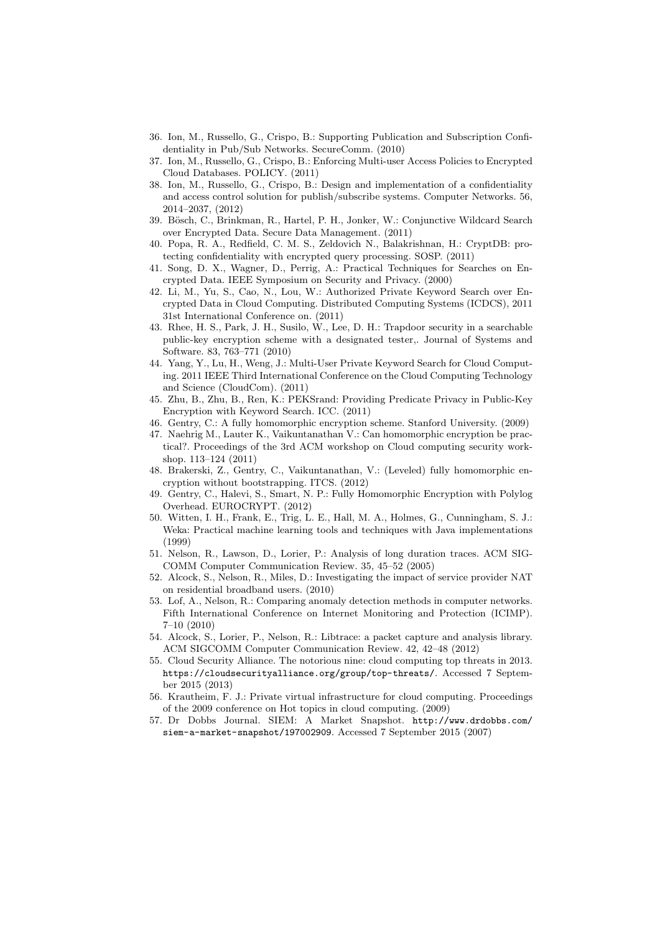- 36. Ion, M., Russello, G., Crispo, B.: Supporting Publication and Subscription Confidentiality in Pub/Sub Networks. SecureComm. (2010)
- 37. Ion, M., Russello, G., Crispo, B.: Enforcing Multi-user Access Policies to Encrypted Cloud Databases. POLICY. (2011)
- 38. Ion, M., Russello, G., Crispo, B.: Design and implementation of a confidentiality and access control solution for publish/subscribe systems. Computer Networks. 56, 2014–2037, (2012)
- 39. Bösch, C., Brinkman, R., Hartel, P. H., Jonker, W.: Conjunctive Wildcard Search over Encrypted Data. Secure Data Management. (2011)
- 40. Popa, R. A., Redfield, C. M. S., Zeldovich N., Balakrishnan, H.: CryptDB: protecting confidentiality with encrypted query processing. SOSP. (2011)
- 41. Song, D. X., Wagner, D., Perrig, A.: Practical Techniques for Searches on Encrypted Data. IEEE Symposium on Security and Privacy. (2000)
- 42. Li, M., Yu, S., Cao, N., Lou, W.: Authorized Private Keyword Search over Encrypted Data in Cloud Computing. Distributed Computing Systems (ICDCS), 2011 31st International Conference on. (2011)
- 43. Rhee, H. S., Park, J. H., Susilo, W., Lee, D. H.: Trapdoor security in a searchable public-key encryption scheme with a designated tester,. Journal of Systems and Software. 83, 763–771 (2010)
- 44. Yang, Y., Lu, H., Weng, J.: Multi-User Private Keyword Search for Cloud Computing. 2011 IEEE Third International Conference on the Cloud Computing Technology and Science (CloudCom). (2011)
- 45. Zhu, B., Zhu, B., Ren, K.: PEKSrand: Providing Predicate Privacy in Public-Key Encryption with Keyword Search. ICC. (2011)
- 46. Gentry, C.: A fully homomorphic encryption scheme. Stanford University. (2009)
- 47. Naehrig M., Lauter K., Vaikuntanathan V.: Can homomorphic encryption be practical?. Proceedings of the 3rd ACM workshop on Cloud computing security workshop. 113–124 (2011)
- 48. Brakerski, Z., Gentry, C., Vaikuntanathan, V.: (Leveled) fully homomorphic encryption without bootstrapping. ITCS. (2012)
- 49. Gentry, C., Halevi, S., Smart, N. P.: Fully Homomorphic Encryption with Polylog Overhead. EUROCRYPT. (2012)
- 50. Witten, I. H., Frank, E., Trig, L. E., Hall, M. A., Holmes, G., Cunningham, S. J.: Weka: Practical machine learning tools and techniques with Java implementations (1999)
- 51. Nelson, R., Lawson, D., Lorier, P.: Analysis of long duration traces. ACM SIG-COMM Computer Communication Review. 35, 45–52 (2005)
- 52. Alcock, S., Nelson, R., Miles, D.: Investigating the impact of service provider NAT on residential broadband users. (2010)
- 53. Lof, A., Nelson, R.: Comparing anomaly detection methods in computer networks. Fifth International Conference on Internet Monitoring and Protection (ICIMP). 7–10 (2010)
- 54. Alcock, S., Lorier, P., Nelson, R.: Libtrace: a packet capture and analysis library. ACM SIGCOMM Computer Communication Review. 42, 42–48 (2012)
- 55. Cloud Security Alliance. The notorious nine: cloud computing top threats in 2013. https://cloudsecurityalliance.org/group/top-threats/. Accessed 7 September 2015 (2013)
- 56. Krautheim, F. J.: Private virtual infrastructure for cloud computing. Proceedings of the 2009 conference on Hot topics in cloud computing. (2009)
- 57. Dr Dobbs Journal. SIEM: A Market Snapshot. http://www.drdobbs.com/ siem-a-market-snapshot/197002909. Accessed 7 September 2015 (2007)